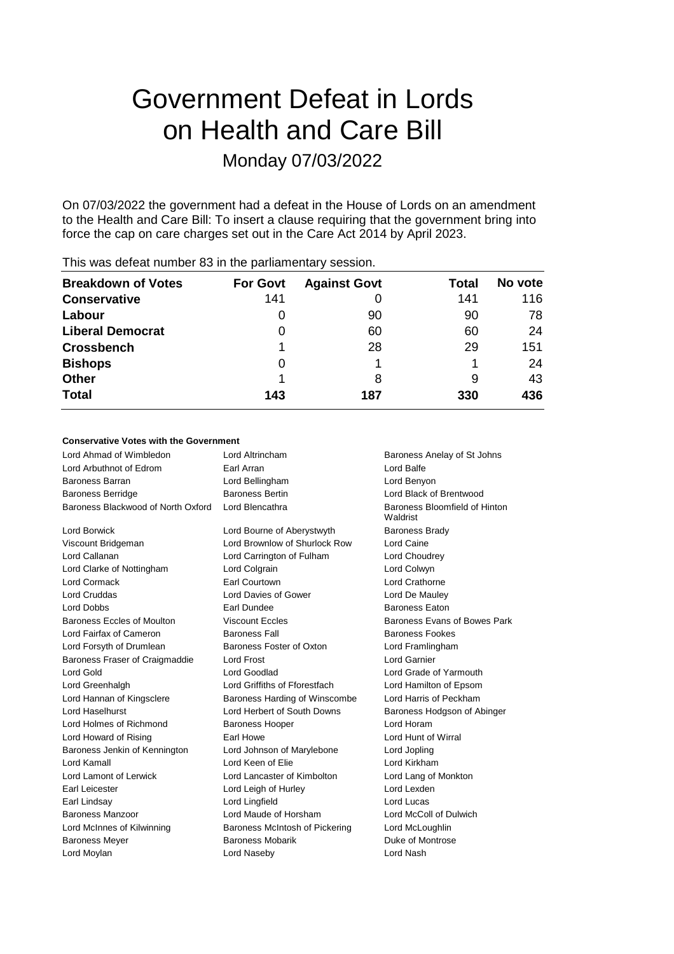# Government Defeat in Lords on Health and Care Bill Monday 07/03/2022

On 07/03/2022 the government had a defeat in the House of Lords on an amendment to the Health and Care Bill: To insert a clause requiring that the government bring into force the cap on care charges set out in the Care Act 2014 by April 2023.

| <b>Breakdown of Votes</b> | <b>For Govt</b> | <b>Against Govt</b> | Total | No vote |
|---------------------------|-----------------|---------------------|-------|---------|
| <b>Conservative</b>       | 141             |                     | 141   | 116     |
| Labour                    | $\cup$          | 90                  | 90    | 78      |
| <b>Liberal Democrat</b>   | O               | 60                  | 60    | 24      |
| <b>Crossbench</b>         |                 | 28                  | 29    | 151     |
| <b>Bishops</b>            | 0               |                     |       | 24      |
| <b>Other</b>              |                 | 8                   | 9     | 43      |
| <b>Total</b>              | 143             | 187                 | 330   | 436     |
|                           |                 |                     |       |         |

This was defeat number 83 in the parliamentary session.

#### **Conservative Votes with the Government**

| Lord Ahmad of Wimbledon            | Lord Altrincham<br>Baroness Anelay of St Johns |                                           |  |
|------------------------------------|------------------------------------------------|-------------------------------------------|--|
| Lord Arbuthnot of Edrom            | Earl Arran                                     | Lord Balfe                                |  |
| <b>Baroness Barran</b>             | Lord Bellingham                                | Lord Benyon                               |  |
| <b>Baroness Berridge</b>           | <b>Baroness Bertin</b>                         | Lord Black of Brentwood                   |  |
| Baroness Blackwood of North Oxford | Lord Blencathra                                | Baroness Bloomfield of Hinton<br>Waldrist |  |
| Lord Borwick                       | Lord Bourne of Aberystwyth                     | <b>Baroness Brady</b>                     |  |
| Viscount Bridgeman                 | Lord Brownlow of Shurlock Row                  | Lord Caine                                |  |
| Lord Callanan                      | Lord Carrington of Fulham                      | Lord Choudrey                             |  |
| Lord Clarke of Nottingham          | Lord Colgrain                                  | Lord Colwyn                               |  |
| <b>Lord Cormack</b>                | Earl Courtown                                  | Lord Crathorne                            |  |
| Lord Cruddas                       | Lord Davies of Gower                           | Lord De Mauley                            |  |
| Lord Dobbs                         | Earl Dundee                                    | <b>Baroness Eaton</b>                     |  |
| Baroness Eccles of Moulton         | <b>Viscount Eccles</b>                         | Baroness Evans of Bowes Park              |  |
| Lord Fairfax of Cameron            | <b>Baroness Fall</b>                           | Baroness Fookes                           |  |
| Lord Forsyth of Drumlean           | Baroness Foster of Oxton                       | Lord Framlingham                          |  |
| Baroness Fraser of Craigmaddie     | <b>Lord Frost</b>                              | <b>Lord Garnier</b>                       |  |
| Lord Gold                          | Lord Goodlad                                   | Lord Grade of Yarmouth                    |  |
| Lord Greenhalgh                    | Lord Griffiths of Fforestfach                  | Lord Hamilton of Epsom                    |  |
| Lord Hannan of Kingsclere          | Baroness Harding of Winscombe                  | Lord Harris of Peckham                    |  |
| Lord Haselhurst                    | Lord Herbert of South Downs                    | Baroness Hodgson of Abinger               |  |
| Lord Holmes of Richmond            | <b>Baroness Hooper</b>                         | Lord Horam                                |  |
| Lord Howard of Rising              | Earl Howe                                      | Lord Hunt of Wirral                       |  |
| Baroness Jenkin of Kennington      | Lord Johnson of Marylebone                     | Lord Jopling                              |  |
| Lord Kamall                        | Lord Keen of Elie                              | Lord Kirkham                              |  |
| Lord Lamont of Lerwick             | Lord Lancaster of Kimbolton                    | Lord Lang of Monkton                      |  |
| Earl Leicester                     | Lord Leigh of Hurley                           | Lord Lexden                               |  |
| Earl Lindsay                       | Lord Lingfield                                 | Lord Lucas                                |  |
| Baroness Manzoor                   | Lord Maude of Horsham                          | Lord McColl of Dulwich                    |  |
| Lord McInnes of Kilwinning         | Baroness McIntosh of Pickering                 | Lord McLoughlin                           |  |
| <b>Baroness Meyer</b>              | <b>Baroness Mobarik</b>                        | Duke of Montrose                          |  |
| Lord Moylan                        | Lord Naseby                                    | Lord Nash                                 |  |
|                                    |                                                |                                           |  |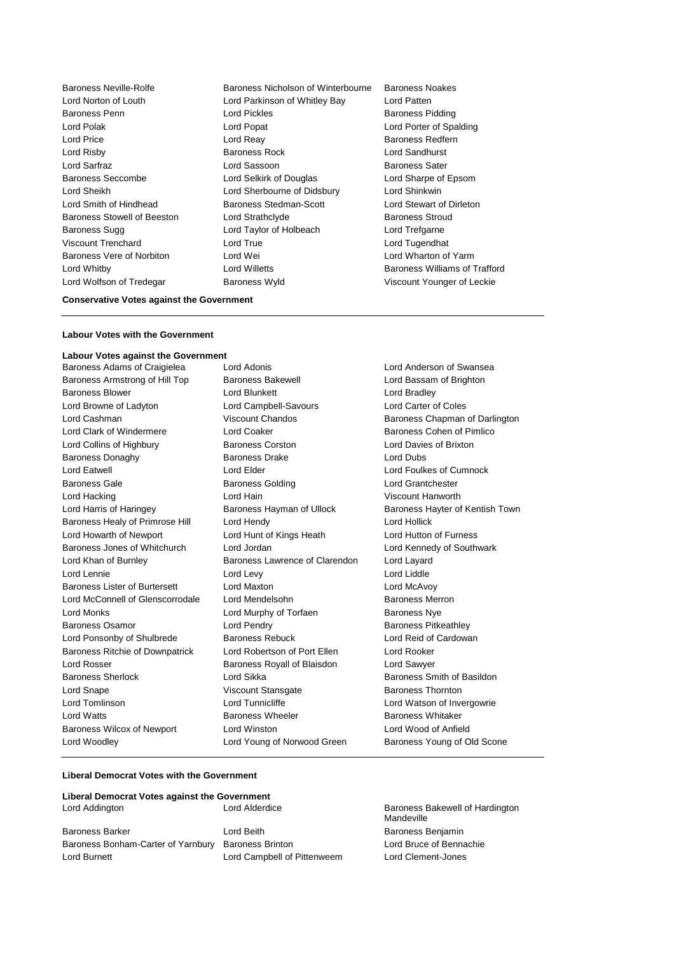Baroness Neville-Rolfe Baroness Nicholson of Winterbourne Baroness Noakes Baroness Stowell of Beeston Lord Strathclyde Lord Wolfson of Tredegar Baroness Wyld Viscount Younger of Leckie

Lord Norton of Louth Lord Parkinson of Whitley Bay Lord Patten Baroness Penn **Baroness Pidding** Lord Pickles **Baroness Pidding** Lord Polak Lord Popat Lord Porter of Spalding Lord Price **Lord Reay Lord Reay Baroness Redfern** Lord Risby Baroness Rock Lord Sandhurst Lord Sarfraz **Lord Sassoon** Baroness Sater Baroness Seccombe Lord Selkirk of Douglas Lord Sharpe of Epsom Lord Sheikh Lord Sherbourne of Didsbury Lord Shinkwin Lord Smith of Hindhead Baroness Stedman-Scott Lord Stewart of Dirleton Baroness Sugg **Lord Taylor of Holbeach** Lord Trefgarne Viscount Trenchard Lord True Lord Tugendhat Baroness Vere of Norbiton Lord Wei Lord Wharton of Yarm Lord Whitby Lord Willetts Baroness Williams of Trafford

#### **Conservative Votes against the Government**

#### **Labour Votes with the Government**

## **Labour Votes against the Government**

Baroness Armstrong of Hill Top Baroness Bakewell Baroness Blower **Lord Blunkett** Lord Bradley Lord Browne of Ladyton Lord Campbell-Savours Lord Carter of Coles Lord Cashman **Viscount Chandos** Baroness Chapman of Darlington Lord Clark of Windermere **Lord Coaker Containers** Baroness Cohen of Pimlico Lord Collins of Highbury Baroness Corston Lord Davies of Brixton Baroness Donaghy Baroness Drake Lord Dubs Lord Eatwell **Lord Elder** Lord Elder **Lord Foulkes of Cumnock** Baroness Gale **Baroness Golding** Baroness Golding Lord Grantchester Lord Hacking Lord Hain Viscount Hanworth Lord Harris of Haringey **Baroness Hayman of Ullock** Baroness Hayter of Kentish Town Baroness Healy of Primrose Hill Lord Hendy Lord Hollick Lord Howarth of Newport Lord Hunt of Kings Heath Lord Hutton of Furness Baroness Jones of Whitchurch Lord Jordan Lord Kennedy of Southwark Lord Khan of Burnley Baroness Lawrence of Clarendon Lord Layard Lord Lennie Lord Levy Lord Liddle Baroness Lister of Burtersett Lord Maxton Lord McAvoy Lord McConnell of Glenscorrodale Lord Mendelsohn Baroness Merron Lord Monks Lord Murphy of Torfaen Baroness Nye Baroness Osamor **Baroness Community** Lord Pendry **Baroness Pricess Pitkeathley** Lord Ponsonby of Shulbrede Baroness Rebuck Lord Reid of Cardowan Baroness Ritchie of Downpatrick Lord Robertson of Port Ellen Lord Rooker Lord Rosser Baroness Royall of Blaisdon Lord Sawyer Baroness Sherlock **Lord Sikka** Baroness Smith of Basildon Lord Snape Viscount Stansgate Baroness Thornton Lord Tomlinson **Lord Tunnicliffe** Lord Tunnicliffe Lord Watson of Invergowrie Lord Watts **Baroness Wheeler** Baroness Wheeler **Baroness Whitaker** Baroness Wilcox of Newport Lord Winston Lord Wood of Anfield Lord Woodley **Lord Young of Norwood Green** Baroness Young of Old Scone

Baroness Adams of Craigielea Lord Adonis<br>
Baroness Armstrong of Hill Top Baroness Bakewell Lord Bassam of Brighton

#### **Liberal Democrat Votes with the Government**

#### **Liberal Democrat Votes against the Government** Lord Addington Lord Alderdice Baroness Bakewell of Hardington

Baroness Barker Lord Beith Baroness Benjamin Baroness Bonham-Carter of Yarnbury Baroness Brinton Lord Bruce of Bennachie Lord Burnett Lord Campbell of Pittenweem Lord Clement-Jones

Mandeville